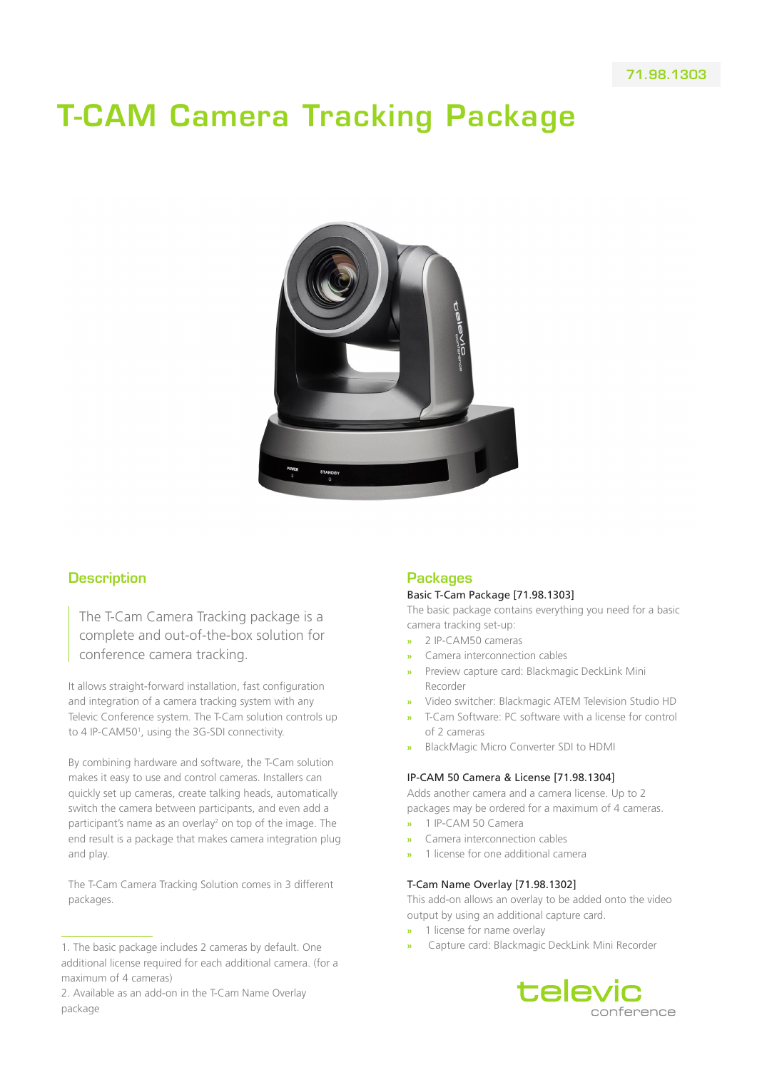# T-CAM Camera Tracking Package



# **Description**

The T-Cam Camera Tracking package is a complete and out-of-the-box solution for conference camera tracking.

It allows straight-forward installation, fast configuration and integration of a camera tracking system with any Televic Conference system. The T-Cam solution controls up to 4 IP-CAM50<sup>1</sup>, using the 3G-SDI connectivity.

By combining hardware and software, the T-Cam solution makes it easy to use and control cameras. Installers can quickly set up cameras, create talking heads, automatically switch the camera between participants, and even add a participant's name as an overlay<sup>2</sup> on top of the image. The end result is a package that makes camera integration plug and play.

The T-Cam Camera Tracking Solution comes in 3 different packages.

# Packages

#### Basic T-Cam Package [71.98.1303]

The basic package contains everything you need for a basic camera tracking set-up:

- **»** 2 IP-CAM50 cameras
- **»** Camera interconnection cables
- **»** Preview capture card: Blackmagic DeckLink Mini Recorder
- **»** Video switcher: Blackmagic ATEM Television Studio HD
- **»** T-Cam Software: PC software with a license for control of 2 cameras
- **»** BlackMagic Micro Converter SDI to HDMI

#### IP-CAM 50 Camera & License [71.98.1304]

Adds another camera and a camera license. Up to 2 packages may be ordered for a maximum of 4 cameras.

- **»** 1 IP-CAM 50 Camera
- **»** Camera interconnection cables
- **»** 1 license for one additional camera

#### T-Cam Name Overlay [71.98.1302]

This add-on allows an overlay to be added onto the video output by using an additional capture card.

- **»** 1 license for name overlay
- **»** Capture card: Blackmagic DeckLink Mini Recorder



<sup>1.</sup> The basic package includes 2 cameras by default. One additional license required for each additional camera. (for a maximum of 4 cameras)

<sup>2.</sup> Available as an add-on in the T-Cam Name Overlay package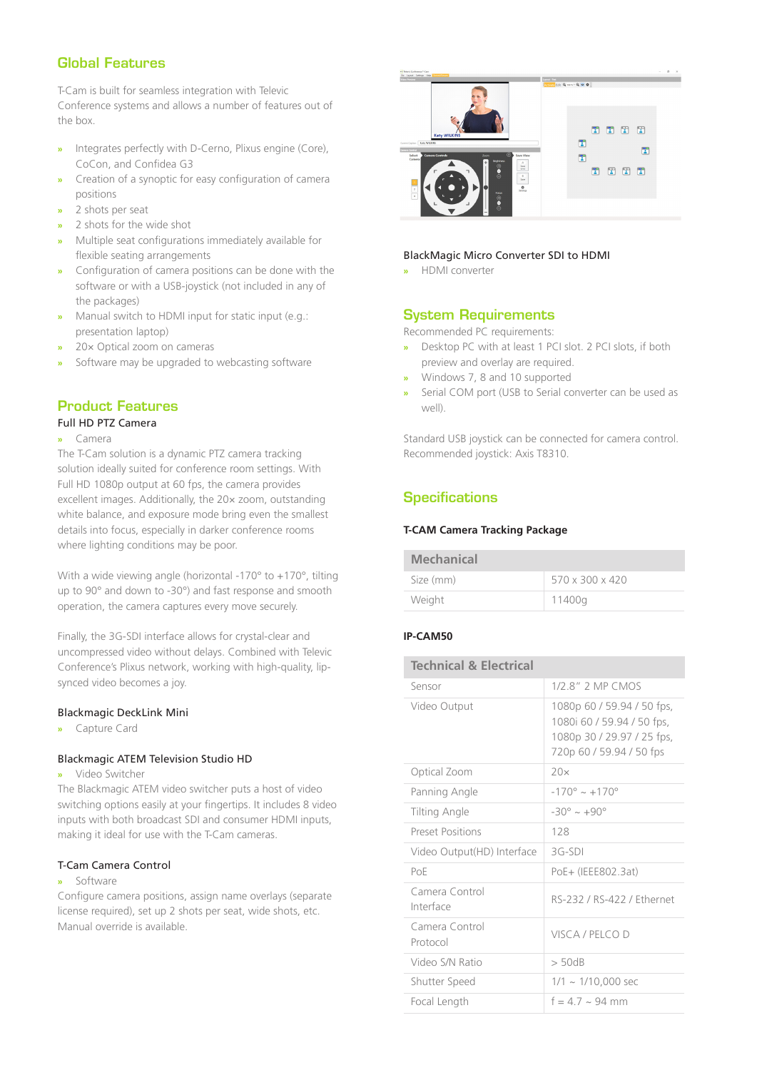# Global Features

T-Cam is built for seamless integration with Televic Conference systems and allows a number of features out of the box.

- **»** Integrates perfectly with D-Cerno, Plixus engine (Core), CoCon, and Confidea G3
- **»** Creation of a synoptic for easy configuration of camera positions
- **»** 2 shots per seat
- **»** 2 shots for the wide shot
- **»** Multiple seat configurations immediately available for flexible seating arrangements
- **»** Configuration of camera positions can be done with the software or with a USB-joystick (not included in any of the packages)
- **»** Manual switch to HDMI input for static input (e.g.: presentation laptop)
- **»** 20× Optical zoom on cameras
- **»** Software may be upgraded to webcasting software

### Product Features

#### Full HD PTZ Camera

#### **»** Camera

The T-Cam solution is a dynamic PTZ camera tracking solution ideally suited for conference room settings. With Full HD 1080p output at 60 fps, the camera provides excellent images. Additionally, the 20× zoom, outstanding white balance, and exposure mode bring even the smallest details into focus, especially in darker conference rooms where lighting conditions may be poor.

With a wide viewing angle (horizontal -170° to +170°, tilting up to 90° and down to -30°) and fast response and smooth operation, the camera captures every move securely.

Finally, the 3G-SDI interface allows for crystal-clear and uncompressed video without delays. Combined with Televic Conference's Plixus network, working with high-quality, lipsynced video becomes a joy.

#### Blackmagic DeckLink Mini

**»** Capture Card

#### Blackmagic ATEM Television Studio HD

#### **»** Video Switcher

The Blackmagic ATEM video switcher puts a host of video switching options easily at your fingertips. It includes 8 video inputs with both broadcast SDI and consumer HDMI inputs, making it ideal for use with the T-Cam cameras.

#### T-Cam Camera Control

#### **»** Software

Configure camera positions, assign name overlays (separate license required), set up 2 shots per seat, wide shots, etc. Manual override is available.



#### BlackMagic Micro Converter SDI to HDMI

**»** HDMI converter

# System Requirements

- Recommended PC requirements: **»** Desktop PC with at least 1 PCI slot. 2 PCI slots, if both
- preview and overlay are required.
- **»** Windows 7, 8 and 10 supported
- **»** Serial COM port (USB to Serial converter can be used as well).

Standard USB joystick can be connected for camera control. Recommended joystick: Axis T8310.

# **Specifications**

#### **T-CAM Camera Tracking Package**

| <b>Mechanical</b> |                 |
|-------------------|-----------------|
| Size (mm)         | 570 x 300 x 420 |
| Weight            | 11400g          |

#### **IP-CAM50**

| <b>Technical &amp; Electrical</b> |                                                                                                                    |
|-----------------------------------|--------------------------------------------------------------------------------------------------------------------|
| Sensor                            | 1/2 8" 2 MP CMOS                                                                                                   |
| Video Output                      | 1080p 60 / 59.94 / 50 fps,<br>1080i 60 / 59.94 / 50 fps,<br>1080p 30 / 29.97 / 25 fps,<br>720p 60 / 59.94 / 50 fps |
| Optical Zoom                      | 20x                                                                                                                |
| Panning Angle                     | $-170^{\circ} \sim +170^{\circ}$                                                                                   |
| Tilting Angle                     | $-30^{\circ} \sim +90^{\circ}$                                                                                     |
| <b>Preset Positions</b>           | 128                                                                                                                |
| Video Output(HD) Interface        | $3G-SDI$                                                                                                           |
| PoF                               | PoE+ (IEEE802.3at)                                                                                                 |
| Camera Control<br>Interface       | RS-232 / RS-422 / Fthernet                                                                                         |
| Camera Control<br>Protocol        | VISCA / PELCO D                                                                                                    |
| Video S/N Ratio                   | $>$ 50dB                                                                                                           |
| Shutter Speed                     | $1/1 \sim 1/10,000$ sec                                                                                            |
| Focal Length                      | $f = 4.7 - 94$ mm                                                                                                  |